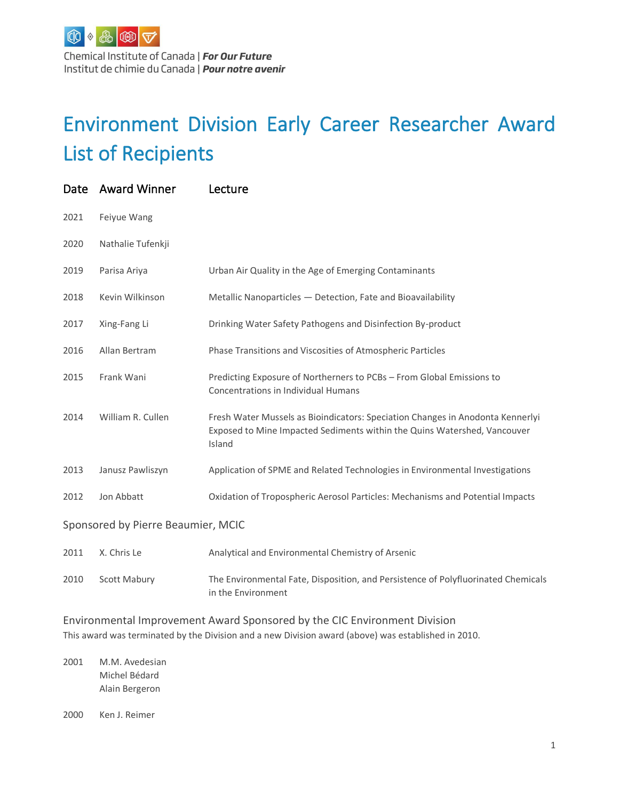Chemical Institute of Canada | For Our Future Institut de chimie du Canada | Pour notre avenir

## Environment Division Early Career Researcher Award List of Recipients

| Date                               | <b>Award Winner</b> | Lecture                                                                                                                                                              |
|------------------------------------|---------------------|----------------------------------------------------------------------------------------------------------------------------------------------------------------------|
| 2021                               | Feiyue Wang         |                                                                                                                                                                      |
| 2020                               | Nathalie Tufenkji   |                                                                                                                                                                      |
| 2019                               | Parisa Ariya        | Urban Air Quality in the Age of Emerging Contaminants                                                                                                                |
| 2018                               | Kevin Wilkinson     | Metallic Nanoparticles - Detection, Fate and Bioavailability                                                                                                         |
| 2017                               | Xing-Fang Li        | Drinking Water Safety Pathogens and Disinfection By-product                                                                                                          |
| 2016                               | Allan Bertram       | Phase Transitions and Viscosities of Atmospheric Particles                                                                                                           |
| 2015                               | Frank Wani          | Predicting Exposure of Northerners to PCBs - From Global Emissions to<br><b>Concentrations in Individual Humans</b>                                                  |
| 2014                               | William R. Cullen   | Fresh Water Mussels as Bioindicators: Speciation Changes in Anodonta Kennerlyi<br>Exposed to Mine Impacted Sediments within the Quins Watershed, Vancouver<br>Island |
| 2013                               | Janusz Pawliszyn    | Application of SPME and Related Technologies in Environmental Investigations                                                                                         |
| 2012                               | Jon Abbatt          | Oxidation of Tropospheric Aerosol Particles: Mechanisms and Potential Impacts                                                                                        |
| Sponsored by Pierre Beaumier, MCIC |                     |                                                                                                                                                                      |
| 2011                               | X. Chris Le         | Analytical and Environmental Chemistry of Arsenic                                                                                                                    |

2010 Scott Mabury The Environmental Fate, Disposition, and Persistence of Polyfluorinated Chemicals in the Environment

Environmental Improvement Award Sponsored by the CIC Environment Division This award was terminated by the Division and a new Division award (above) was established in 2010.

2001 M.M. Avedesian Michel Bédard Alain Bergeron

2000 Ken J. Reimer